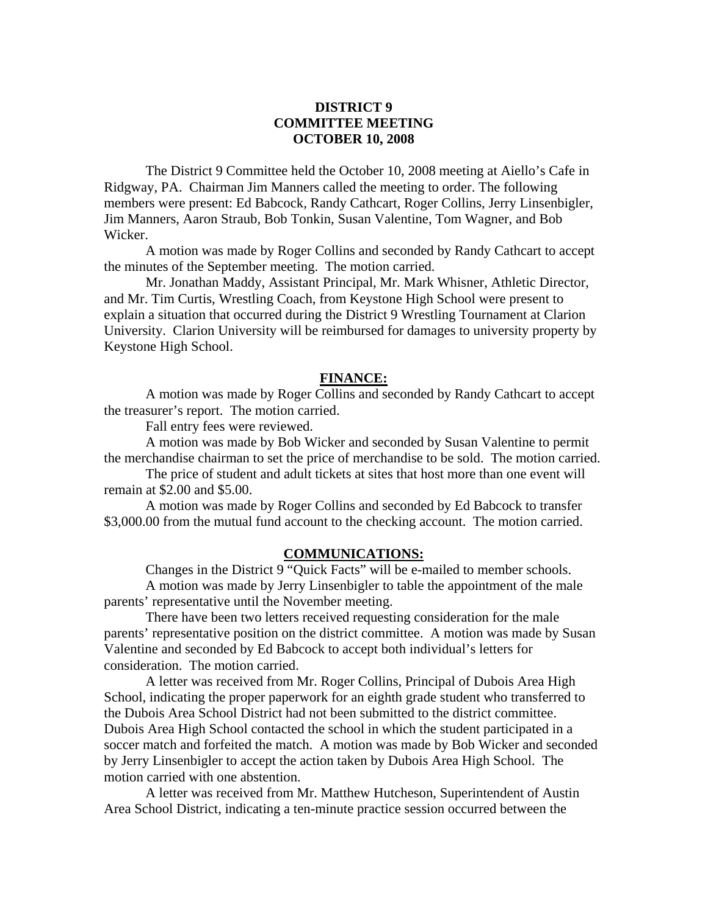# **DISTRICT 9 COMMITTEE MEETING OCTOBER 10, 2008**

 The District 9 Committee held the October 10, 2008 meeting at Aiello's Cafe in Ridgway, PA. Chairman Jim Manners called the meeting to order. The following members were present: Ed Babcock, Randy Cathcart, Roger Collins, Jerry Linsenbigler, Jim Manners, Aaron Straub, Bob Tonkin, Susan Valentine, Tom Wagner, and Bob Wicker.

 A motion was made by Roger Collins and seconded by Randy Cathcart to accept the minutes of the September meeting. The motion carried.

 Mr. Jonathan Maddy, Assistant Principal, Mr. Mark Whisner, Athletic Director, and Mr. Tim Curtis, Wrestling Coach, from Keystone High School were present to explain a situation that occurred during the District 9 Wrestling Tournament at Clarion University. Clarion University will be reimbursed for damages to university property by Keystone High School.

### **FINANCE:**

A motion was made by Roger Collins and seconded by Randy Cathcart to accept the treasurer's report. The motion carried.

Fall entry fees were reviewed.

 A motion was made by Bob Wicker and seconded by Susan Valentine to permit the merchandise chairman to set the price of merchandise to be sold. The motion carried.

 The price of student and adult tickets at sites that host more than one event will remain at \$2.00 and \$5.00.

 A motion was made by Roger Collins and seconded by Ed Babcock to transfer \$3,000.00 from the mutual fund account to the checking account. The motion carried.

## **COMMUNICATIONS:**

 Changes in the District 9 "Quick Facts" will be e-mailed to member schools. A motion was made by Jerry Linsenbigler to table the appointment of the male parents' representative until the November meeting.

 There have been two letters received requesting consideration for the male parents' representative position on the district committee. A motion was made by Susan Valentine and seconded by Ed Babcock to accept both individual's letters for consideration. The motion carried.

 A letter was received from Mr. Roger Collins, Principal of Dubois Area High School, indicating the proper paperwork for an eighth grade student who transferred to the Dubois Area School District had not been submitted to the district committee. Dubois Area High School contacted the school in which the student participated in a soccer match and forfeited the match. A motion was made by Bob Wicker and seconded by Jerry Linsenbigler to accept the action taken by Dubois Area High School. The motion carried with one abstention.

 A letter was received from Mr. Matthew Hutcheson, Superintendent of Austin Area School District, indicating a ten-minute practice session occurred between the